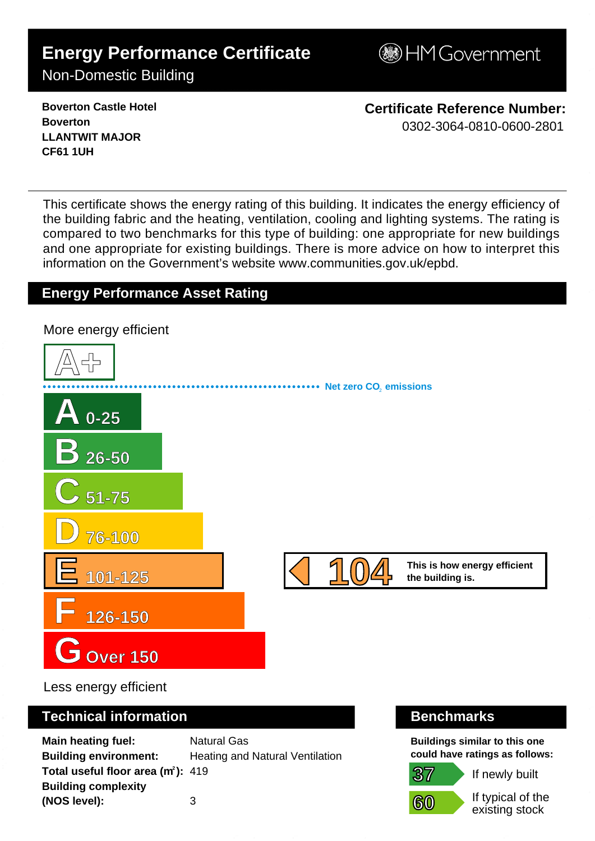# **Energy Performance Certificate**

**B**HM Government

## Non-Domestic Building

**Boverton Castle Hotel Boverton LLANTWIT MAJOR CF61 1UH**

**Certificate Reference Number:** 0302-3064-0810-0600-2801

This certificate shows the energy rating of this building. It indicates the energy efficiency of the building fabric and the heating, ventilation, cooling and lighting systems. The rating is compared to two benchmarks for this type of building: one appropriate for new buildings and one appropriate for existing buildings. There is more advice on how to interpret this information on the Government's websit[e www.communities.gov.uk/epbd.](http://www.communities.gov.uk/epbd)

### **Energy Performance Asset Rating**

**A+ A 0-25 B 26-50 C 51-75 D 76-100 E 101-125 F 126-150 GOver 150 This is how energy efficient 104 the building is. Net zero CO**, emissions More energy efficient 1 0 4 - 0 3 0 2 - 3 0 6 4 - 0 8 1 0 - 0 6 0 0 - 2 8 0 1 - S K 4 5 1 5 3 0 5 3 1 6 2 0 - D C L G x E P C g e n 2 0 0

Less energy efficient

#### **Technical information Benchmarks**

**Main heating fuel:** Natural Gas **Building environment:** Heating and Natural Ventilation **Total useful floor area (m<sup>2</sup>): 419 Building complexity (NOS level):** 3

**Buildings similar to this one could have ratings as follows:**



If newly built

If typical of the existing stock